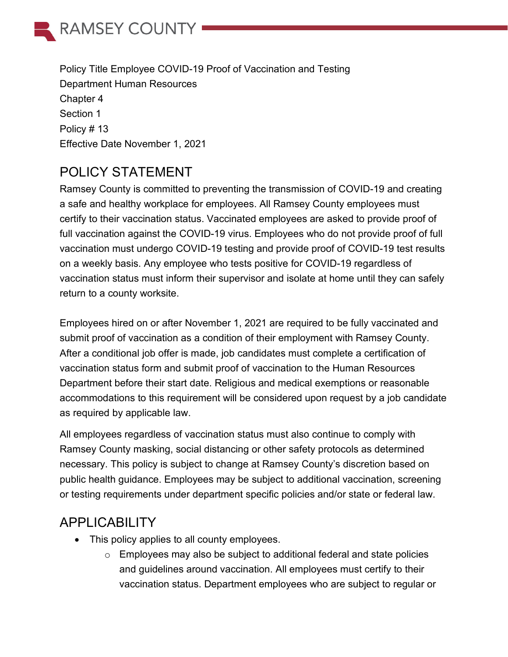

Policy Title Employee COVID-19 Proof of Vaccination and Testing Department Human Resources Chapter 4 Section 1 Policy # 13 Effective Date November 1, 2021

# POLICY STATEMENT

Ramsey County is committed to preventing the transmission of COVID-19 and creating a safe and healthy workplace for employees. All Ramsey County employees must certify to their vaccination status. Vaccinated employees are asked to provide proof of full vaccination against the COVID-19 virus. Employees who do not provide proof of full vaccination must undergo COVID-19 testing and provide proof of COVID-19 test results on a weekly basis. Any employee who tests positive for COVID-19 regardless of vaccination status must inform their supervisor and isolate at home until they can safely return to a county worksite.

Employees hired on or after November 1, 2021 are required to be fully vaccinated and submit proof of vaccination as a condition of their employment with Ramsey County. After a conditional job offer is made, job candidates must complete a certification of vaccination status form and submit proof of vaccination to the Human Resources Department before their start date. Religious and medical exemptions or reasonable accommodations to this requirement will be considered upon request by a job candidate as required by applicable law.

All employees regardless of vaccination status must also continue to comply with Ramsey County masking, social distancing or other safety protocols as determined necessary. This policy is subject to change at Ramsey County's discretion based on public health guidance. Employees may be subject to additional vaccination, screening or testing requirements under department specific policies and/or state or federal law.

## APPLICABILITY

- This policy applies to all county employees.
	- $\circ$  Employees may also be subject to additional federal and state policies and guidelines around vaccination. All employees must certify to their vaccination status. Department employees who are subject to regular or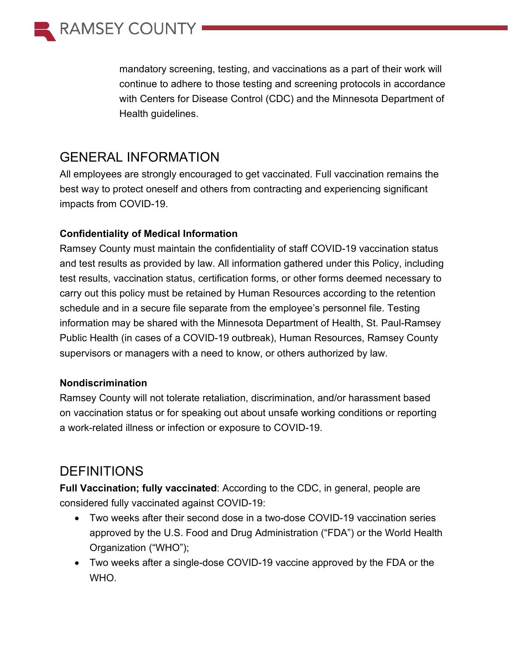

mandatory screening, testing, and vaccinations as a part of their work will continue to adhere to those testing and screening protocols in accordance with Centers for Disease Control (CDC) and the Minnesota Department of Health guidelines.

## GENERAL INFORMATION

All employees are strongly encouraged to get vaccinated. Full vaccination remains the best way to protect oneself and others from contracting and experiencing significant impacts from COVID-19.

#### **Confidentiality of Medical Information**

Ramsey County must maintain the confidentiality of staff COVID-19 vaccination status and test results as provided by law. All information gathered under this Policy, including test results, vaccination status, certification forms, or other forms deemed necessary to carry out this policy must be retained by Human Resources according to the retention schedule and in a secure file separate from the employee's personnel file. Testing information may be shared with the Minnesota Department of Health, St. Paul-Ramsey Public Health (in cases of a COVID-19 outbreak), Human Resources, Ramsey County supervisors or managers with a need to know, or others authorized by law.

#### **Nondiscrimination**

Ramsey County will not tolerate retaliation, discrimination, and/or harassment based on vaccination status or for speaking out about unsafe working conditions or reporting a work-related illness or infection or exposure to COVID-19.

## **DEFINITIONS**

**Full Vaccination; fully vaccinated**: According to the CDC, in general, people are considered fully vaccinated against COVID-19:

- Two weeks after their second dose in a two-dose COVID-19 vaccination series approved by the U.S. Food and Drug Administration ("FDA") or the World Health Organization ("WHO");
- Two weeks after a single-dose COVID-19 vaccine approved by the FDA or the WHO.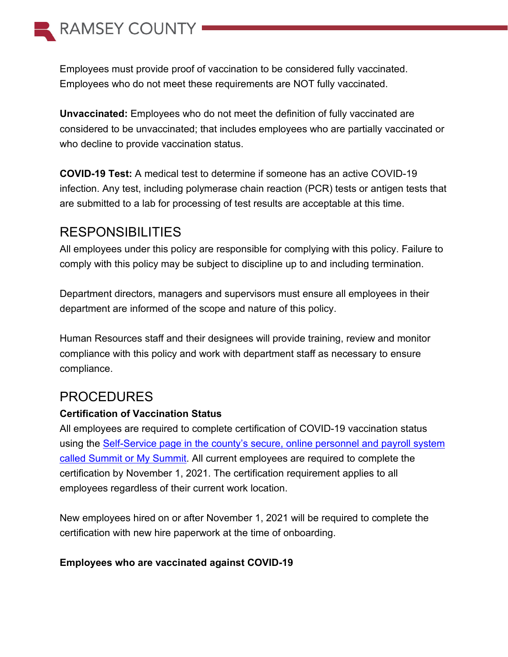

Employees must provide proof of vaccination to be considered fully vaccinated. Employees who do not meet these requirements are NOT fully vaccinated.

**Unvaccinated:** Employees who do not meet the definition of fully vaccinated are considered to be unvaccinated; that includes employees who are partially vaccinated or who decline to provide vaccination status.

**COVID-19 Test:** A medical test to determine if someone has an active COVID-19 infection. Any test, including polymerase chain reaction (PCR) tests or antigen tests that are submitted to a lab for processing of test results are acceptable at this time.

### RESPONSIBILITIES

All employees under this policy are responsible for complying with this policy. Failure to comply with this policy may be subject to discipline up to and including termination.

Department directors, managers and supervisors must ensure all employees in their department are informed of the scope and nature of this policy.

Human Resources staff and their designees will provide training, review and monitor compliance with this policy and work with department staff as necessary to ensure compliance.

### PROCEDURES

#### **Certification of Vaccination Status**

All employees are required to complete certification of COVID-19 vaccination status using the [Self-Service page in the county's secure, online personnel and payroll system](https://mysummit.host.co.ramsey.mn.us/)  called Summit [or My Summit.](https://mysummit.host.co.ramsey.mn.us/) All current employees are required to complete the certification by November 1, 2021. The certification requirement applies to all employees regardless of their current work location.

New employees hired on or after November 1, 2021 will be required to complete the certification with new hire paperwork at the time of onboarding.

#### **Employees who are vaccinated against COVID-19**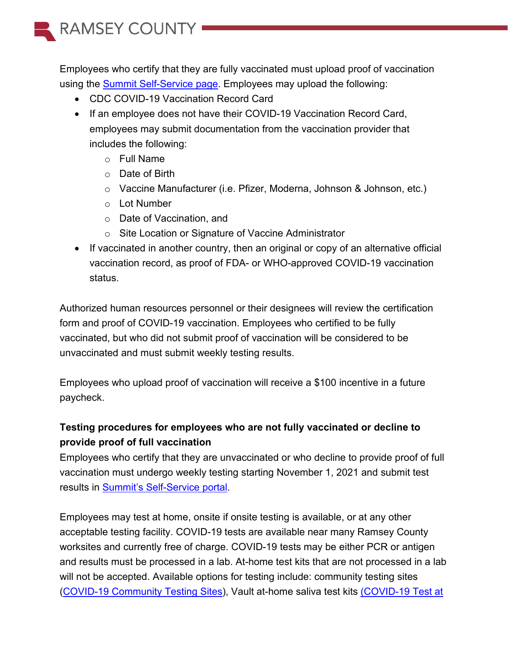

Employees who certify that they are fully vaccinated must upload proof of vaccination using the [Summit Self-Service page.](https://mysummit.host.co.ramsey.mn.us/) Employees may upload the following:

- CDC COVID-19 Vaccination Record Card
- If an employee does not have their COVID-19 Vaccination Record Card, employees may submit documentation from the vaccination provider that includes the following:
	- o Full Name
	- o Date of Birth
	- o Vaccine Manufacturer (i.e. Pfizer, Moderna, Johnson & Johnson, etc.)
	- o Lot Number
	- o Date of Vaccination, and
	- o Site Location or Signature of Vaccine Administrator
- If vaccinated in another country, then an original or copy of an alternative official vaccination record, as proof of FDA- or WHO-approved COVID-19 vaccination status.

Authorized human resources personnel or their designees will review the certification form and proof of COVID-19 vaccination. Employees who certified to be fully vaccinated, but who did not submit proof of vaccination will be considered to be unvaccinated and must submit weekly testing results.

Employees who upload proof of vaccination will receive a \$100 incentive in a future paycheck.

### **Testing procedures for employees who are not fully vaccinated or decline to provide proof of full vaccination**

Employees who certify that they are unvaccinated or who decline to provide proof of full vaccination must undergo weekly testing starting November 1, 2021 and submit test results in **Summit's Self-Service portal**.

Employees may test at home, onsite if onsite testing is available, or at any other acceptable testing facility. COVID-19 tests are available near many Ramsey County worksites and currently free of charge. COVID-19 tests may be either PCR or antigen and results must be processed in a lab. At-home test kits that are not processed in a lab will not be accepted. Available options for testing include: community testing sites [\(COVID-19 Community Testing Sites\)](https://www.ramseycounty.us/covid-19-info/covid-19-testing), Vault at-home saliva test kits [\(COVID-19 Test at](https://www.health.state.mn.us/diseases/coronavirus/testsites/athome.html)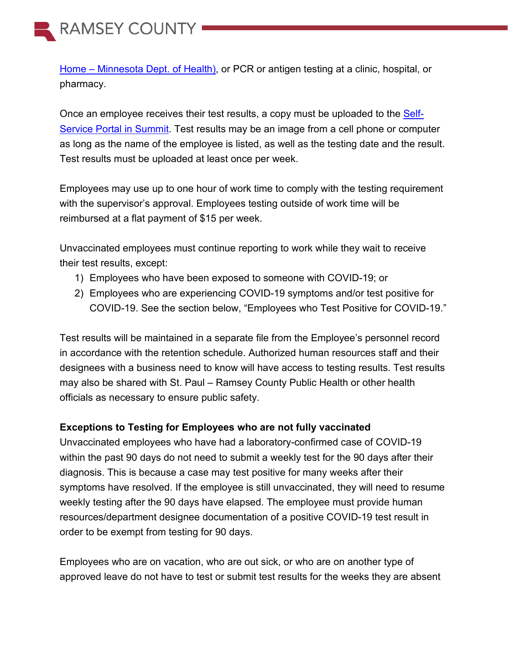RAMSEY COUNTY -

Home – [Minnesota Dept. of Health\),](https://www.health.state.mn.us/diseases/coronavirus/testsites/athome.html) or PCR or antigen testing at a clinic, hospital, or pharmacy.

Once an employee receives their test results, a copy must be uploaded to the [Self-](https://mysummit.host.co.ramsey.mn.us/)Service [Portal in Summit.](https://mysummit.host.co.ramsey.mn.us/) Test results may be an image from a cell phone or computer as long as the name of the employee is listed, as well as the testing date and the result. Test results must be uploaded at least once per week.

Employees may use up to one hour of work time to comply with the testing requirement with the supervisor's approval. Employees testing outside of work time will be reimbursed at a flat payment of \$15 per week.

Unvaccinated employees must continue reporting to work while they wait to receive their test results, except:

- 1) Employees who have been exposed to someone with COVID-19; or
- 2) Employees who are experiencing COVID-19 symptoms and/or test positive for COVID-19. See the section below, "Employees who Test Positive for COVID-19."

Test results will be maintained in a separate file from the Employee's personnel record in accordance with the retention schedule. Authorized human resources staff and their designees with a business need to know will have access to testing results. Test results may also be shared with St. Paul – Ramsey County Public Health or other health officials as necessary to ensure public safety.

#### **Exceptions to Testing for Employees who are not fully vaccinated**

Unvaccinated employees who have had a laboratory-confirmed case of COVID-19 within the past 90 days do not need to submit a weekly test for the 90 days after their diagnosis. This is because a case may test positive for many weeks after their symptoms have resolved. If the employee is still unvaccinated, they will need to resume weekly testing after the 90 days have elapsed. The employee must provide human resources/department designee documentation of a positive COVID-19 test result in order to be exempt from testing for 90 days.

Employees who are on vacation, who are out sick, or who are on another type of approved leave do not have to test or submit test results for the weeks they are absent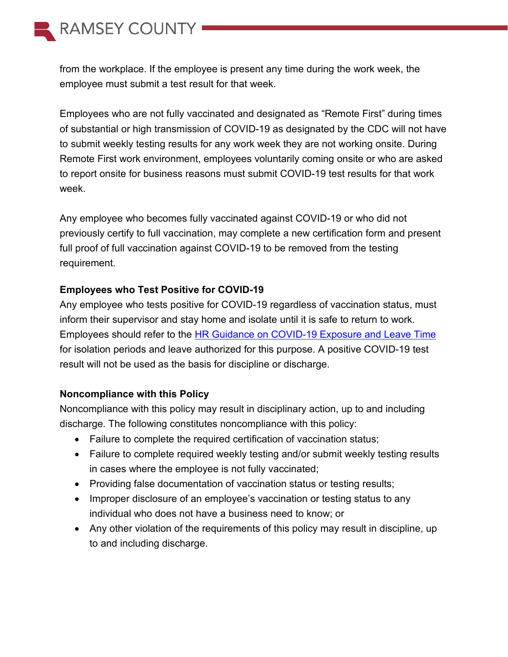

from the workplace. If the employee is present any time during the work week, the employee must submit a test result for that week.

Employees who are not fully vaccinated and designated as "Remote First" during times of substantial or high transmission of COVID-19 as designated by the CDC will not have to submit weekly testing results for any work week they are not working onsite. During Remote First work environment, employees voluntarily coming onsite or who are asked to report onsite for business reasons must submit COVID-19 test results for that work week.

Any employee who becomes fully vaccinated against COVID-19 or who did not previously certify to full vaccination, may complete a new certification form and present full proof of full vaccination against COVID-19 to be removed from the testing requirement.

#### **Employees who Test Positive for COVID-19**

Any employee who tests positive for COVID-19 regardless of vaccination status, must inform their supervisor and stay home and isolate until it is safe to return to work. Employees should refer to the [HR Guidance on COVID-19 Exposure and](https://ramseynet.us/sites/default/files/Strategic%20Team/Human%20Resouces/HR%20Guidance%20for%20Exposure%20to%20COVID-19%20and%20Leave%20Time%209.8.2021.pdf) Leave Time for isolation periods and leave authorized for this purpose. A positive COVID-19 test result will not be used as the basis for discipline or discharge.

#### **Noncompliance with this Policy**

Noncompliance with this policy may result in disciplinary action, up to and including discharge. The following constitutes noncompliance with this policy:

- Failure to complete the required certification of vaccination status;
- Failure to complete required weekly testing and/or submit weekly testing results in cases where the employee is not fully vaccinated;
- Providing false documentation of vaccination status or testing results;
- Improper disclosure of an employee's vaccination or testing status to any individual who does not have a business need to know; or
- Any other violation of the requirements of this policy may result in discipline, up to and including discharge.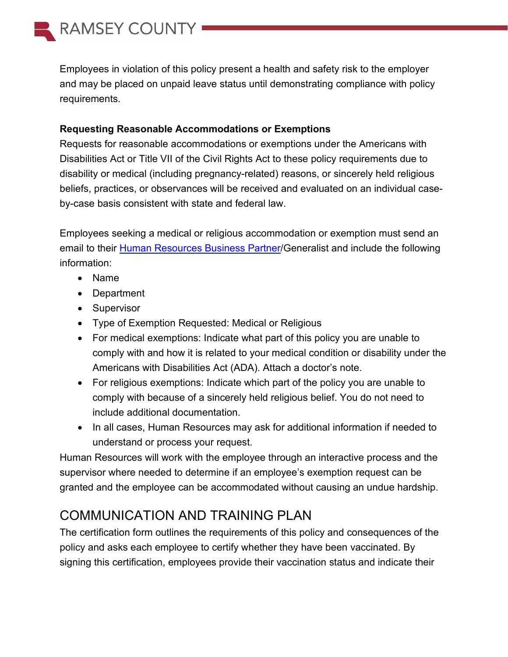

Employees in violation of this policy present a health and safety risk to the employer and may be placed on unpaid leave status until demonstrating compliance with policy requirements.

#### **Requesting Reasonable Accommodations or Exemptions**

Requests for reasonable accommodations or exemptions under the Americans with Disabilities Act or Title VII of the Civil Rights Act to these policy requirements due to disability or medical (including pregnancy-related) reasons, or sincerely held religious beliefs, practices, or observances will be received and evaluated on an individual caseby-case basis consistent with state and federal law.

Employees seeking a medical or religious accommodation or exemption must send an email to their [Human Resources Business Partner/](https://ramseynet.us/service-teams-departments/strategic-team/human-resources/department-human-resources-generalists)Generalist and include the following information:

- Name
- Department
- Supervisor
- Type of Exemption Requested: Medical or Religious
- For medical exemptions: Indicate what part of this policy you are unable to comply with and how it is related to your medical condition or disability under the Americans with Disabilities Act (ADA). Attach a doctor's note.
- For religious exemptions: Indicate which part of the policy you are unable to comply with because of a sincerely held religious belief. You do not need to include additional documentation.
- In all cases, Human Resources may ask for additional information if needed to understand or process your request.

Human Resources will work with the employee through an interactive process and the supervisor where needed to determine if an employee's exemption request can be granted and the employee can be accommodated without causing an undue hardship.

# COMMUNICATION AND TRAINING PLAN

The certification form outlines the requirements of this policy and consequences of the policy and asks each employee to certify whether they have been vaccinated. By signing this certification, employees provide their vaccination status and indicate their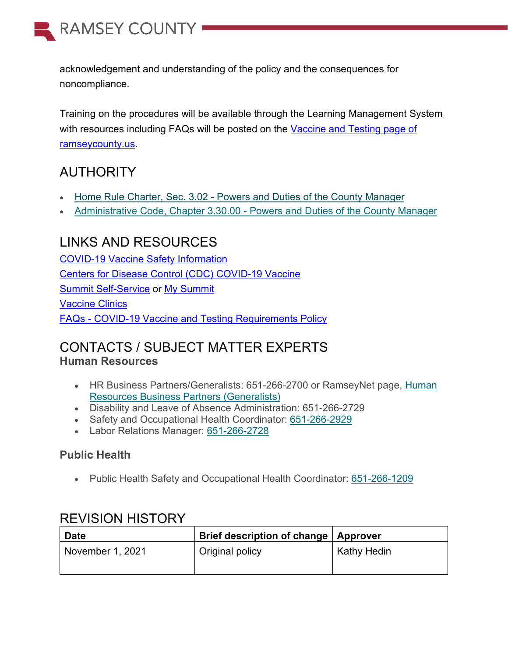

acknowledgement and understanding of the policy and the consequences for noncompliance.

Training on the procedures will be available through the Learning Management System with resources including FAQs will be posted on the [Vaccine and Testing page of](https://www.ramseycounty.us/covid-19-info/county-employee-information/covid-19-employee-vaccination-or-testing-requirements) [ramseycounty.us.](https://www.ramseycounty.us/covid-19-info/county-employee-information/covid-19-employee-vaccination-or-testing-requirements)

# AUTHORITY

- Home Rule Charter, Sec. 3.02 [Powers and Duties of the County Manager](https://www.ramseycounty.us/sites/default/files/Leadership/Ramsey%20County%20Home%20Rule%20Charter.pdf)
- Administrative Code, Chapter 3.30.00 [Powers and Duties of the County Manager](https://ramseynet.us/content/chapter-3-county-manager)

## LINKS AND RESOURCES

[COVID-19 Vaccine Safety Information](https://gcc02.safelinks.protection.outlook.com/?url=https%3A%2F%2Fwww.youtube.com%2Fwatch%3Fv%3DspBTV5ot8io&data=04%7C01%7CAnn.Feaman%40CO.RAMSEY.MN.US%7Ccb944631950f480326a508d9731233c4%7Cc073ebb35b56471386cf555efc97f68f%7C0%7C0%7C637667344285830797%7CUnknown%7CTWFpbGZsb3d8eyJWIjoiMC4wLjAwMDAiLCJQIjoiV2luMzIiLCJBTiI6Ik1haWwiLCJXVCI6Mn0%3D%7C1000&sdata=EG4EUc4lv1kZSVa5w7ny2LboKBxErxRPevUnO1vd7JI%3D&reserved=0) [Centers for Disease Control \(CDC\) COVID-19 Vaccine](https://www.youtube.com/watch?v=7bBmQaX2k4w) [Summit Self-Service](https://mysummit.host.co.ramsey.mn.us/) or [My Summit](https://mysummit.host.co.ramsey.mn.us/) [Vaccine Clinics](https://www.ramseycounty.us/covid-19-info/covid-19-vaccine) FAQs - [COVID-19 Vaccine and Testing Requirements Policy](https://www.ramseycounty.us/covid-19-info/county-employee-information/covid-19-employee-vaccination-or-testing-requirements)

## CONTACTS / SUBJECT MATTER EXPERTS **Human Resources**

- HR Business Partners/Generalists: 651-266-2700 or RamseyNet page, [Human](https://ramseynet.us/service-teams-departments/strategic-team/human-resources/department-human-resources-generalists)  [Resources Business Partners \(Generalists\)](https://ramseynet.us/service-teams-departments/strategic-team/human-resources/department-human-resources-generalists)
- Disability and Leave of Absence Administration: 651-266-2729
- Safety and Occupational Health Coordinator: [651-266-2929](tel:651-266-2929)
- Labor Relations Manager: [651-266-2728](tel:651-266-2728)

### **Public Health**

• Public Health Safety and Occupational Health Coordinator: [651-266-1209](tel:651-266-1209)

### REVISION HISTORY

| <b>Date</b>      | Brief description of change   Approver |                    |
|------------------|----------------------------------------|--------------------|
| November 1, 2021 | Original policy                        | <b>Kathy Hedin</b> |
|                  |                                        |                    |